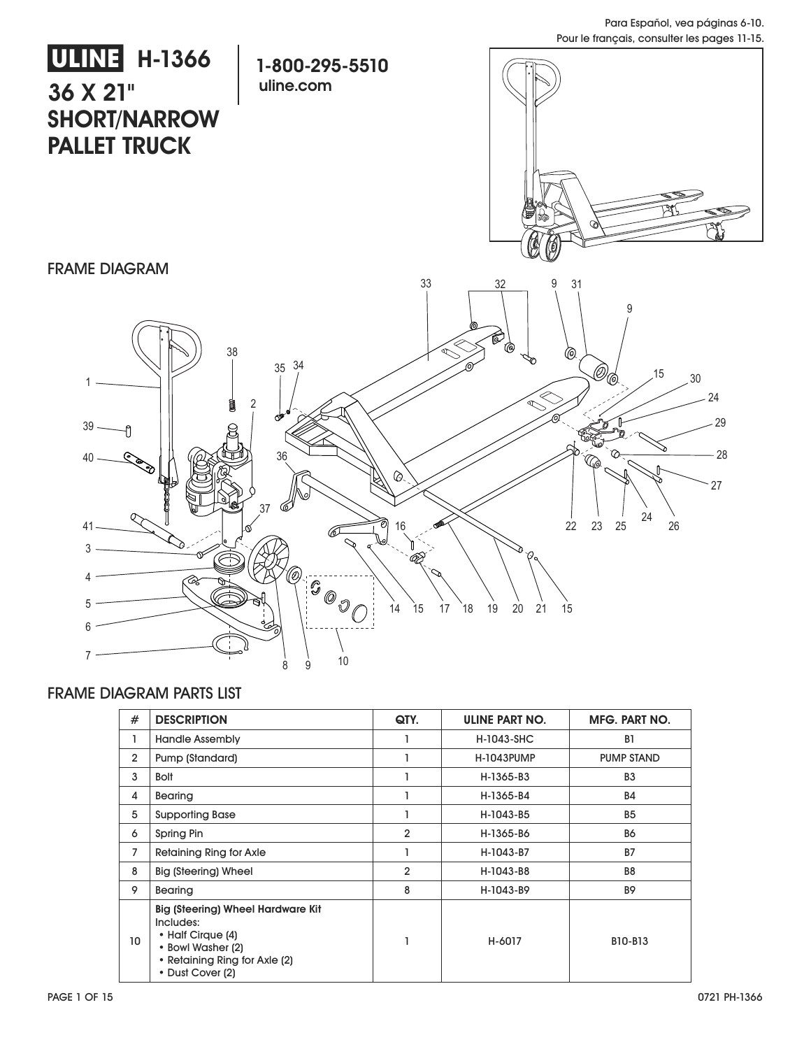

#### FRAME DIAGRAM PARTS LIST

| #               | <b>DESCRIPTION</b>                                                                                                                                   | QTY.           | ULINE PART NO.    | MFG. PART NO.     |
|-----------------|------------------------------------------------------------------------------------------------------------------------------------------------------|----------------|-------------------|-------------------|
| ı               | <b>Handle Assembly</b>                                                                                                                               |                | H-1043-SHC        | B <sub>1</sub>    |
| $\overline{2}$  | Pump (Standard)                                                                                                                                      |                | <b>H-1043PUMP</b> | <b>PUMP STAND</b> |
| 3               | <b>Bolt</b>                                                                                                                                          |                | H-1365-B3         | B <sub>3</sub>    |
| 4               | Bearing                                                                                                                                              |                | H-1365-B4         | <b>B4</b>         |
| 5               | <b>Supporting Base</b>                                                                                                                               |                | H-1043-B5         | B <sub>5</sub>    |
| 6               | Spring Pin                                                                                                                                           | $\overline{2}$ | H-1365-B6         | <b>B6</b>         |
| 7               | <b>Retaining Ring for Axle</b>                                                                                                                       |                | H-1043-B7         | <b>B7</b>         |
| 8               | Big (Steering) Wheel                                                                                                                                 | $\overline{2}$ | H-1043-B8         | B <sub>8</sub>    |
| 9               | Bearing                                                                                                                                              | 8              | H-1043-B9         | <b>B9</b>         |
| 10 <sup>°</sup> | <b>Big (Steering) Wheel Hardware Kit</b><br>Includes:<br>• Half Cirque (4)<br>• Bowl Washer (2)<br>• Retaining Ring for Axle (2)<br>• Dust Cover (2) |                | H-6017            | B10-B13           |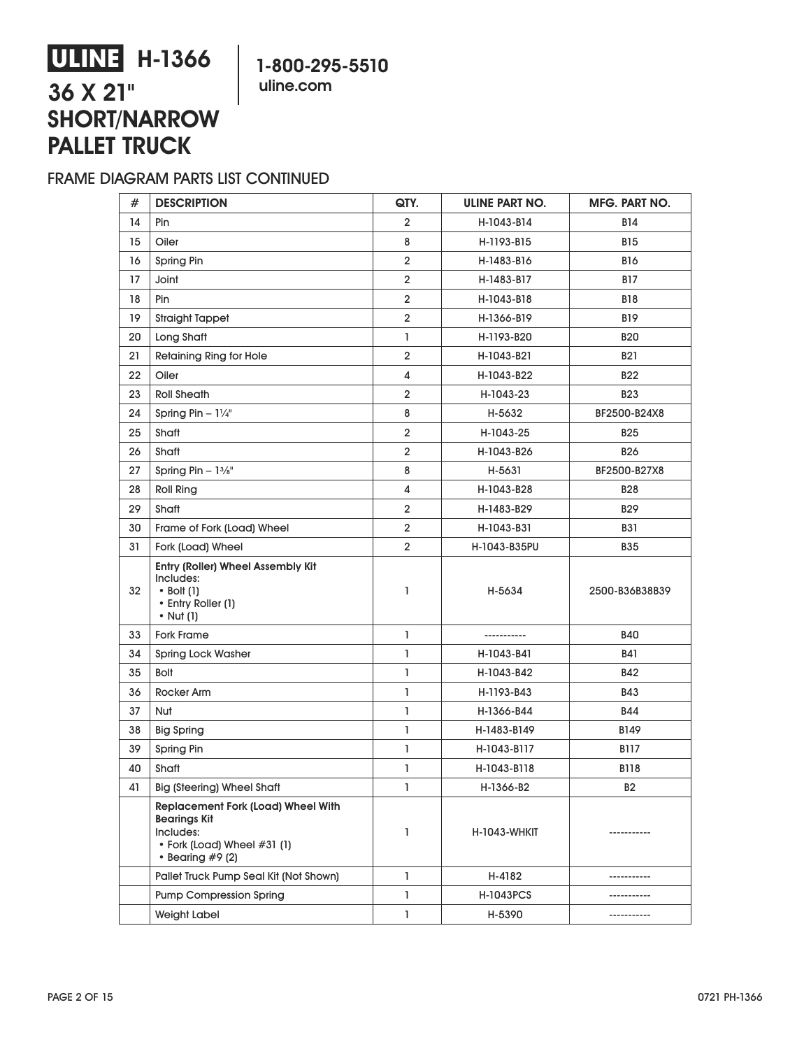### **1-800-295-5510 uline.com**

# **ULINE H-1366 36 X 21" SHORT/NARROW PALLET TRUCK**

### FRAME DIAGRAM PARTS LIST CONTINUED

| #  | <b>DESCRIPTION</b>                                                                                                               | QTY.           | ULINE PART NO.   | MFG. PART NO.  |
|----|----------------------------------------------------------------------------------------------------------------------------------|----------------|------------------|----------------|
| 14 | Pin                                                                                                                              | $\overline{2}$ | H-1043-B14       | B14            |
| 15 | Oiler                                                                                                                            | 8              | H-1193-B15       | <b>B15</b>     |
| 16 | Spring Pin                                                                                                                       | $\overline{2}$ | H-1483-B16       | <b>B16</b>     |
| 17 | Joint                                                                                                                            | $\overline{2}$ | H-1483-B17       | B17            |
| 18 | Pin                                                                                                                              | $\overline{2}$ | H-1043-B18       | <b>B18</b>     |
| 19 | <b>Straight Tappet</b>                                                                                                           | $\overline{2}$ | H-1366-B19       | B19            |
| 20 | Long Shaft                                                                                                                       | $\mathbf{1}$   | H-1193-B20       | <b>B20</b>     |
| 21 | <b>Retaining Ring for Hole</b>                                                                                                   | $\overline{2}$ | H-1043-B21       | <b>B21</b>     |
| 22 | Oiler                                                                                                                            | 4              | H-1043-B22       | <b>B22</b>     |
| 23 | <b>Roll Sheath</b>                                                                                                               | $\overline{2}$ | H-1043-23        | <b>B23</b>     |
| 24 | Spring Pin $-1\frac{1}{4}$ "                                                                                                     | 8              | H-5632           | BF2500-B24X8   |
| 25 | Shaft                                                                                                                            | $\overline{2}$ | H-1043-25        | <b>B25</b>     |
| 26 | Shaft                                                                                                                            | $\overline{2}$ | H-1043-B26       | <b>B26</b>     |
| 27 | Spring Pin $-1\frac{3}{8}$ "                                                                                                     | 8              | H-5631           | BF2500-B27X8   |
| 28 | <b>Roll Ring</b>                                                                                                                 | 4              | H-1043-B28       | <b>B28</b>     |
| 29 | Shaft                                                                                                                            | $\overline{2}$ | H-1483-B29       | B29            |
| 30 | Frame of Fork (Load) Wheel                                                                                                       | $\overline{2}$ | H-1043-B31       | <b>B31</b>     |
| 31 | Fork (Load) Wheel                                                                                                                | $\overline{2}$ | H-1043-B35PU     | <b>B35</b>     |
| 32 | Entry (Roller) Wheel Assembly Kit<br>Includes:<br>$\bullet$ Bolt (1)<br>• Entry Roller (1)<br>$\bullet$ Nut (1)                  | L              | H-5634           | 2500-B36B38B39 |
| 33 | <b>Fork Frame</b>                                                                                                                | L              | -----------      | <b>B40</b>     |
| 34 | <b>Spring Lock Washer</b>                                                                                                        | L              | H-1043-B41       | B41            |
| 35 | <b>Bolt</b>                                                                                                                      | $\mathbf{I}$   | H-1043-B42       | <b>B42</b>     |
| 36 | Rocker Arm                                                                                                                       | L              | H-1193-B43       | B43            |
| 37 | Nut                                                                                                                              | L              | H-1366-B44       | B44            |
| 38 | <b>Big Spring</b>                                                                                                                | L              | H-1483-B149      | B149           |
| 39 | Spring Pin                                                                                                                       | L              | H-1043-B117      | <b>B117</b>    |
| 40 | Shaft                                                                                                                            | $\mathbf{I}$   | H-1043-B118      | <b>B118</b>    |
| 41 | <b>Big (Steering) Wheel Shaft</b>                                                                                                | 1              | H-1366-B2        | B2             |
|    | <b>Replacement Fork (Load) Wheel With</b><br><b>Bearings Kit</b><br>Includes:<br>• Fork (Load) Wheel #31 (1)<br>• Bearing #9 (2) | L              | H-1043-WHKIT     | -----------    |
|    | Pallet Truck Pump Seal Kit (Not Shown)                                                                                           | L              | H-4182           |                |
|    | <b>Pump Compression Spring</b>                                                                                                   | $\mathbf{I}$   | <b>H-1043PCS</b> |                |
|    | <b>Weight Label</b>                                                                                                              | $\mathbf{I}$   | H-5390           | -----------    |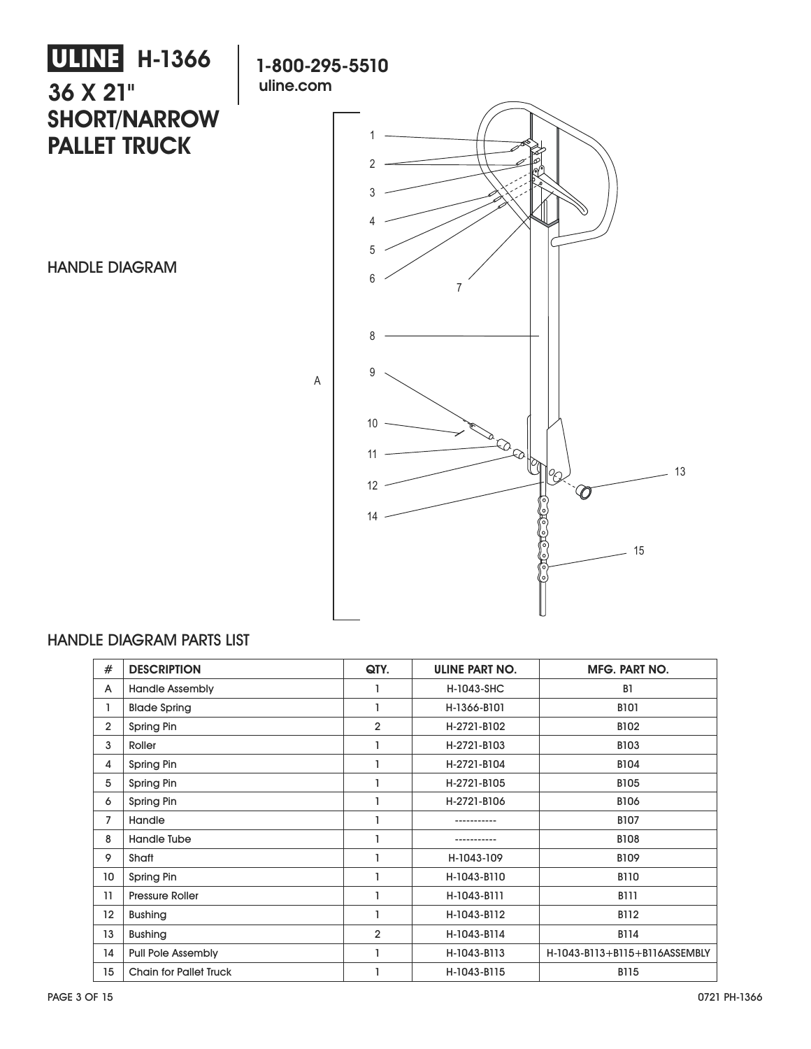# **ULINE** H-1366 **36 X 21" SHORT/NARROW PALLET TRUCK**

HANDLE DIAGRAM



### HANDLE DIAGRAM PARTS LIST

| #              | <b>DESCRIPTION</b>            | QTY.           | <b>ULINE PART NO.</b> | <b>MFG. PART NO.</b>          |
|----------------|-------------------------------|----------------|-----------------------|-------------------------------|
| A              | <b>Handle Assembly</b>        |                | H-1043-SHC            | B <sub>1</sub>                |
| 1              | <b>Blade Spring</b>           |                | H-1366-B101           | <b>B101</b>                   |
| $\overline{2}$ | Spring Pin                    | $\overline{2}$ | H-2721-B102           | B102                          |
| 3              | Roller                        |                | H-2721-B103           | B103                          |
| 4              | Spring Pin                    |                | H-2721-B104           | <b>B104</b>                   |
| 5              | Spring Pin                    |                | H-2721-B105           | <b>B105</b>                   |
| 6              | Spring Pin                    |                | H-2721-B106           | <b>B106</b>                   |
| 7              | Handle                        |                |                       | <b>B107</b>                   |
| 8              | Handle Tube                   |                |                       | <b>B108</b>                   |
| 9              | Shaft                         |                | H-1043-109            | <b>B109</b>                   |
| 10             | Spring Pin                    |                | H-1043-B110           | <b>B110</b>                   |
| 11             | <b>Pressure Roller</b>        |                | H-1043-B111           | <b>B111</b>                   |
| 12             | <b>Bushing</b>                |                | H-1043-B112           | <b>B112</b>                   |
| 13             | <b>Bushing</b>                | $\overline{2}$ | H-1043-B114           | <b>B114</b>                   |
| 14             | <b>Pull Pole Assembly</b>     |                | H-1043-B113           | H-1043-B113+B115+B116ASSEMBLY |
| 15             | <b>Chain for Pallet Truck</b> |                | H-1043-B115           | <b>B115</b>                   |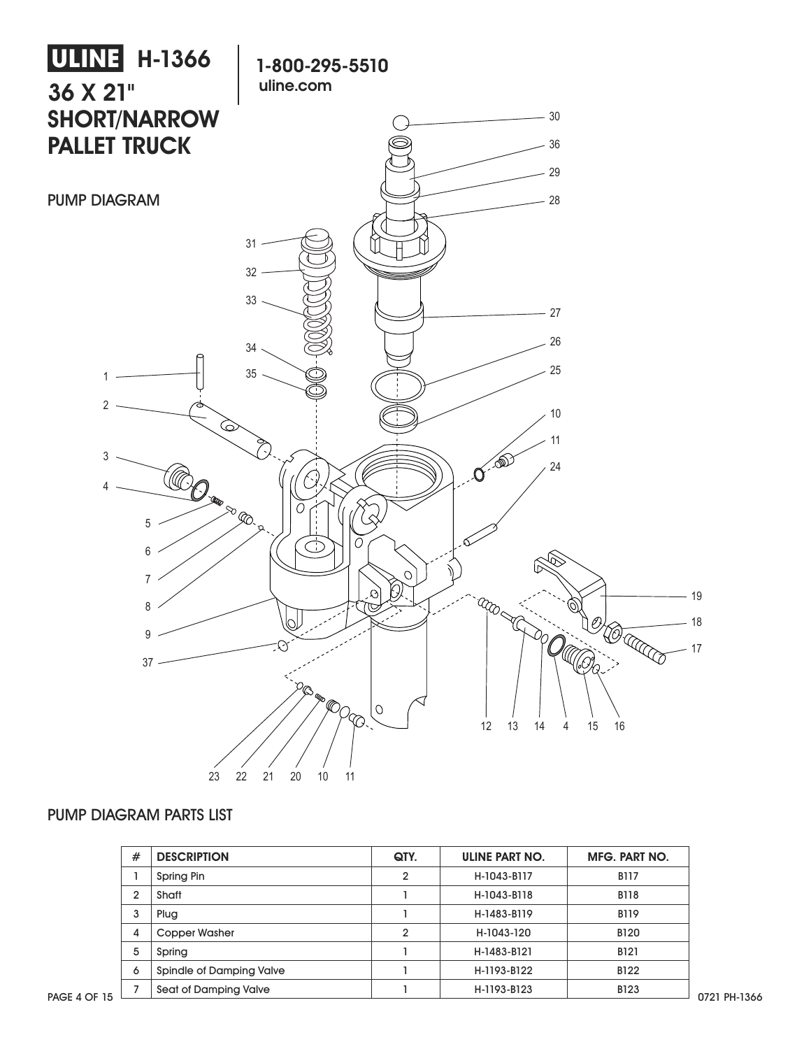

#### PUMP DIAGRAM PARTS LIST

| # | <b>DESCRIPTION</b>       | QTY.         | <b>ULINE PART NO.</b> | MFG. PART NO. |
|---|--------------------------|--------------|-----------------------|---------------|
|   | Spring Pin               | $\mathbf{2}$ | H-1043-B117           | <b>B117</b>   |
| 2 | Shaft                    |              | H-1043-B118           | <b>B118</b>   |
| 3 | Plug                     |              | H-1483-B119           | <b>B119</b>   |
| 4 | Copper Washer            | າ            | H-1043-120            | <b>B120</b>   |
| 5 | Spring                   |              | H-1483-B121           | <b>B121</b>   |
| 6 | Spindle of Damping Valve |              | H-1193-B122           | B122          |
|   | Seat of Damping Valve    |              | H-1193-B123           | <b>B123</b>   |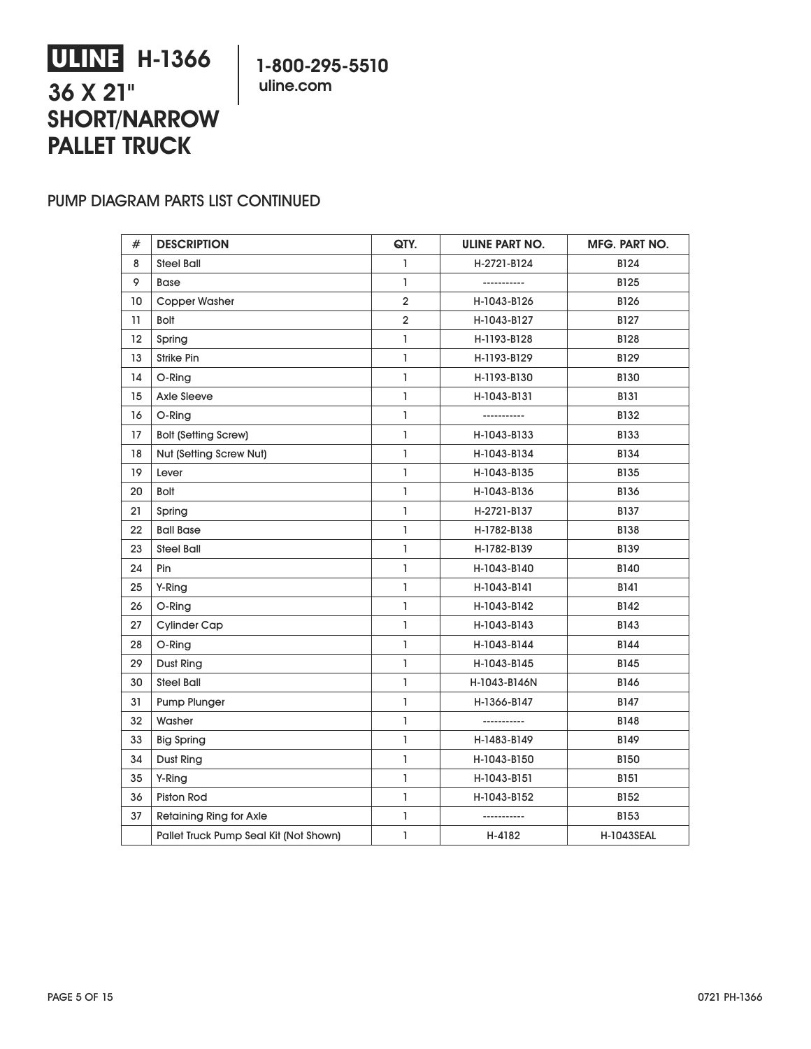# **ULINE H-1366 36 X 21" SHORT/NARROW PALLET TRUCK**

**1-800-295-5510 uline.com**

#### PUMP DIAGRAM PARTS LIST CONTINUED

| #  | <b>DESCRIPTION</b>                     | QTY.           | ULINE PART NO. | MFG. PART NO.     |
|----|----------------------------------------|----------------|----------------|-------------------|
| 8  | Steel Ball                             | $\mathbf{I}$   | H-2721-B124    | <b>B124</b>       |
| 9  | <b>Base</b>                            | $\mathbf{I}$   | -----------    | B125              |
| 10 | <b>Copper Washer</b>                   | $\overline{2}$ | H-1043-B126    | B126              |
| 11 | <b>Bolt</b>                            | $\overline{2}$ | H-1043-B127    | B127              |
| 12 | Spring                                 | $\mathbf{1}$   | H-1193-B128    | <b>B128</b>       |
| 13 | Strike Pin                             | $\mathbf{I}$   | H-1193-B129    | B129              |
| 14 | O-Ring                                 | $\mathbf{I}$   | H-1193-B130    | <b>B130</b>       |
| 15 | <b>Axle Sleeve</b>                     | $\mathbf{I}$   | H-1043-B131    | <b>B131</b>       |
| 16 | O-Ring                                 | 1              | -----------    | B132              |
| 17 | <b>Bolt (Setting Screw)</b>            | $\mathbf{1}$   | H-1043-B133    | <b>B133</b>       |
| 18 | Nut (Setting Screw Nut)                | $\mathbf{I}$   | H-1043-B134    | <b>B134</b>       |
| 19 | Lever                                  | $\mathbf{I}$   | H-1043-B135    | B135              |
| 20 | <b>Bolt</b>                            | $\mathbf{I}$   | H-1043-B136    | B136              |
| 21 | Spring                                 | $\mathbf{I}$   | H-2721-B137    | <b>B137</b>       |
| 22 | <b>Ball Base</b>                       | $\mathbf{1}$   | H-1782-B138    | <b>B138</b>       |
| 23 | Steel Ball                             | $\mathbf{1}$   | H-1782-B139    | <b>B139</b>       |
| 24 | Pin                                    | $\mathbf{I}$   | H-1043-B140    | B140              |
| 25 | Y-Ring                                 | $\mathbf{I}$   | H-1043-B141    | B141              |
| 26 | O-Ring                                 | $\mathbf{I}$   | H-1043-B142    | B142              |
| 27 | <b>Cylinder Cap</b>                    | $\mathbf{I}$   | H-1043-B143    | B143              |
| 28 | O-Ring                                 | $\mathbf{1}$   | H-1043-B144    | <b>B144</b>       |
| 29 | Dust Ring                              | $\mathbf{1}$   | H-1043-B145    | <b>B145</b>       |
| 30 | <b>Steel Ball</b>                      | $\mathbf{I}$   | H-1043-B146N   | <b>B146</b>       |
| 31 | Pump Plunger                           | $\mathbf{I}$   | H-1366-B147    | B147              |
| 32 | Washer                                 | $\mathbf{I}$   | -----------    | <b>B148</b>       |
| 33 | <b>Big Spring</b>                      | $\mathbf{I}$   | H-1483-B149    | B149              |
| 34 | Dust Ring                              | $\mathbf{1}$   | H-1043-B150    | <b>B150</b>       |
| 35 | Y-Ring                                 | L              | H-1043-B151    | <b>B151</b>       |
| 36 | Piston Rod                             | $\mathbf{I}$   | H-1043-B152    | B152              |
| 37 | Retaining Ring for Axle                | $\mathbf{I}$   | -----------    | <b>B153</b>       |
|    | Pallet Truck Pump Seal Kit (Not Shown) | $\mathbf{1}$   | H-4182         | <b>H-1043SEAL</b> |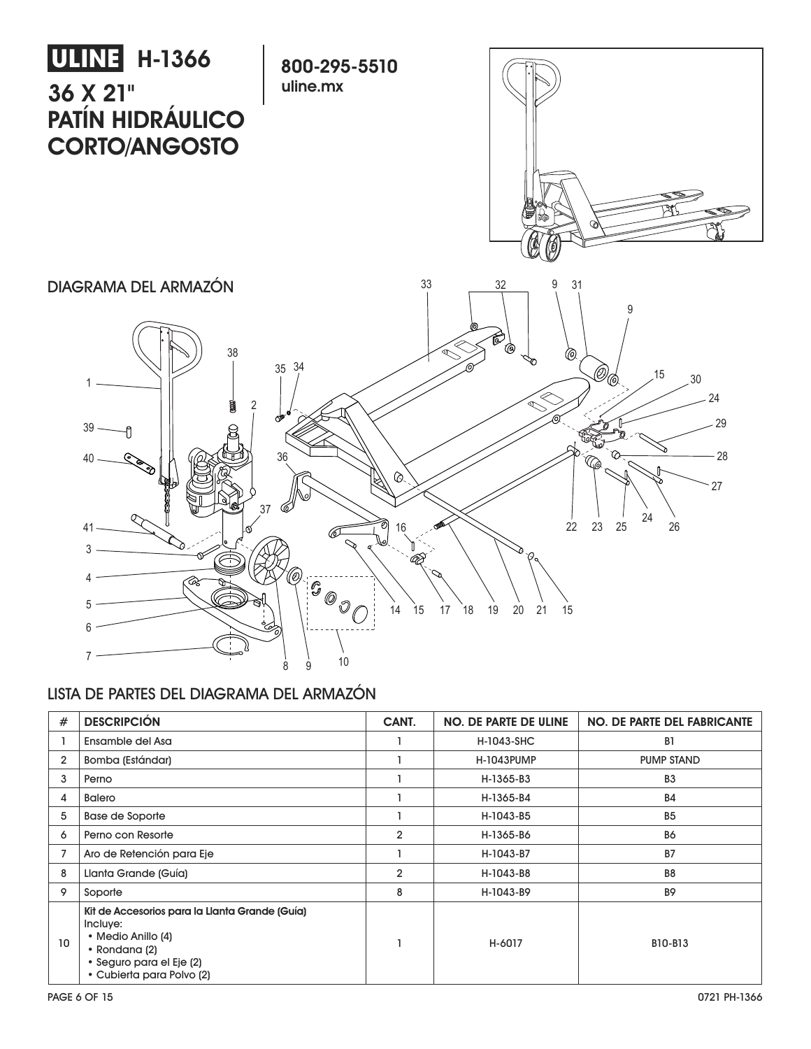

#### LISTA DE PARTES DEL DIAGRAMA DEL ARMAZÓN

| #              | <b>DESCRIPCIÓN</b>                                                                                                                                         | CANT.          | <b>NO. DE PARTE DE ULINE</b> | <b>NO. DE PARTE DEL FABRICANTE</b> |
|----------------|------------------------------------------------------------------------------------------------------------------------------------------------------------|----------------|------------------------------|------------------------------------|
|                | Ensamble del Asa                                                                                                                                           |                | H-1043-SHC                   | B <sub>1</sub>                     |
| $\overline{2}$ | Bomba (Estándar)                                                                                                                                           |                | <b>H-1043PUMP</b>            | <b>PUMP STAND</b>                  |
| 3              | Perno                                                                                                                                                      |                | H-1365-B3                    | B <sub>3</sub>                     |
| 4              | <b>Balero</b>                                                                                                                                              |                | H-1365-B4                    | <b>B4</b>                          |
| 5              | Base de Soporte                                                                                                                                            |                | H-1043-B5                    | B <sub>5</sub>                     |
| 6              | Perno con Resorte                                                                                                                                          | $\overline{2}$ | H-1365-B6                    | <b>B6</b>                          |
|                | Aro de Retención para Eje                                                                                                                                  |                | H-1043-B7                    | <b>B7</b>                          |
| 8              | Llanta Grande (Guía)                                                                                                                                       | $\overline{2}$ | H-1043-B8                    | B <sub>8</sub>                     |
| 9              | Soporte                                                                                                                                                    | 8              | H-1043-B9                    | <b>B9</b>                          |
| 10             | Kit de Accesorios para la Llanta Grande (Guía)<br>Incluye:<br>• Medio Anillo (4)<br>• Rondana (2)<br>• Seguro para el Eje (2)<br>• Cubierta para Polvo (2) |                | H-6017                       | B10-B13                            |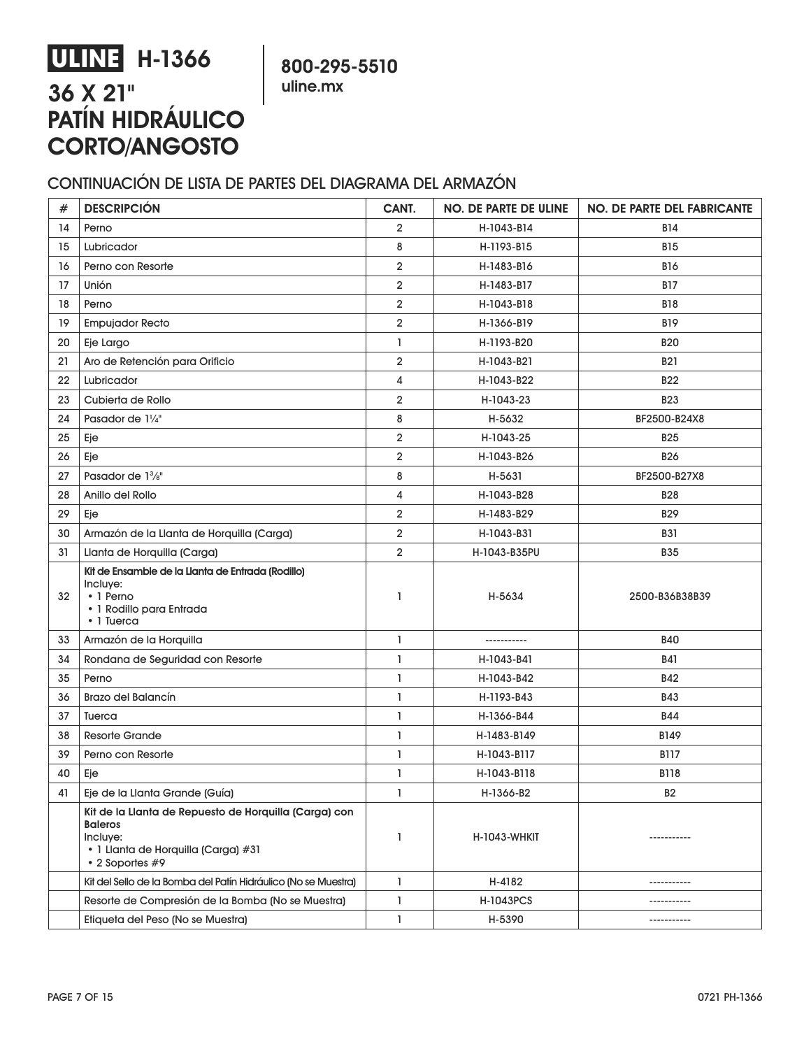# **ULINE H-1366 36 X 21" PATÍN HIDRÁULICO CORTO/ANGOSTO**

**800-295-5510 uline.mx**

### CONTINUACIÓN DE LISTA DE PARTES DEL DIAGRAMA DEL ARMAZÓN

| $\#$ | <b>DESCRIPCIÓN</b>                                                                                                                            | CANT.          | <b>NO. DE PARTE DE ULINE</b> | <b>NO. DE PARTE DEL FABRICANTE</b> |
|------|-----------------------------------------------------------------------------------------------------------------------------------------------|----------------|------------------------------|------------------------------------|
| 14   | Perno                                                                                                                                         | $\overline{2}$ | H-1043-B14                   | <b>B14</b>                         |
| 15   | Lubricador                                                                                                                                    | 8              | H-1193-B15                   | <b>B15</b>                         |
| 16   | Perno con Resorte                                                                                                                             | 2              | H-1483-B16                   | <b>B16</b>                         |
| 17   | Unión                                                                                                                                         | $\overline{2}$ | H-1483-B17                   | <b>B17</b>                         |
| 18   | Perno                                                                                                                                         | 2              | H-1043-B18                   | <b>B18</b>                         |
| 19   | <b>Empujador Recto</b>                                                                                                                        | $\overline{2}$ | H-1366-B19                   | <b>B19</b>                         |
| 20   | Eje Largo                                                                                                                                     | ı              | H-1193-B20                   | <b>B20</b>                         |
| 21   | Aro de Retención para Orificio                                                                                                                | 2              | H-1043-B21                   | <b>B21</b>                         |
| 22   | Lubricador                                                                                                                                    | 4              | H-1043-B22                   | <b>B22</b>                         |
| 23   | Cubierta de Rollo                                                                                                                             | 2              | H-1043-23                    | <b>B23</b>                         |
| 24   | Pasador de 11/4"                                                                                                                              | 8              | H-5632                       | BF2500-B24X8                       |
| 25   | Eje                                                                                                                                           | 2              | H-1043-25                    | <b>B25</b>                         |
| 26   | Eje                                                                                                                                           | 2              | H-1043-B26                   | <b>B26</b>                         |
| 27   | Pasador de 1 <sup>3</sup> / <sub>8</sub> "                                                                                                    | 8              | H-5631                       | BF2500-B27X8                       |
| 28   | Anillo del Rollo                                                                                                                              | 4              | H-1043-B28                   | <b>B28</b>                         |
| 29   | Eje                                                                                                                                           | $\overline{2}$ | H-1483-B29                   | <b>B29</b>                         |
| 30   | Armazón de la Llanta de Horquilla (Carga)                                                                                                     | 2              | H-1043-B31                   | <b>B31</b>                         |
| 31   | Llanta de Horquilla (Carga)                                                                                                                   | $\overline{2}$ | H-1043-B35PU                 | <b>B35</b>                         |
| 32   | Kit de Ensamble de la Llanta de Entrada (Rodillo)<br>Incluye:<br>$\cdot$ 1 Perno<br>· 1 Rodillo para Entrada<br>• 1 Tuerca                    | 1              | H-5634                       | 2500-B36B38B39                     |
| 33   | Armazón de la Horquilla                                                                                                                       | ı              | -----------                  | <b>B40</b>                         |
| 34   | Rondana de Seguridad con Resorte                                                                                                              | $\mathbf{I}$   | H-1043-B41                   | <b>B41</b>                         |
| 35   | Perno                                                                                                                                         | 1              | H-1043-B42                   | <b>B42</b>                         |
| 36   | <b>Brazo del Balancín</b>                                                                                                                     | 1              | H-1193-B43                   | <b>B43</b>                         |
| 37   | Tuerca                                                                                                                                        | ı              | H-1366-B44                   | <b>B44</b>                         |
| 38   | <b>Resorte Grande</b>                                                                                                                         | 1              | H-1483-B149                  | B149                               |
| 39   | Perno con Resorte                                                                                                                             | 1              | H-1043-B117                  | <b>B117</b>                        |
| 40   | Eje                                                                                                                                           | ı              | H-1043-B118                  | <b>B118</b>                        |
| 41   | Eje de la Llanta Grande (Guía)                                                                                                                | ı              | H-1366-B2                    | <b>B2</b>                          |
|      | Kit de la Llanta de Repuesto de Horquilla (Carga) con<br><b>Baleros</b><br>Incluye:<br>· 1 Llanta de Horquilla (Carga) #31<br>• 2 Soportes #9 | 1              | H-1043-WHKIT                 | -----------                        |
|      | Kit del Sello de la Bomba del Patín Hidráulico (No se Muestra)                                                                                | $\mathbf{I}$   | H-4182                       | -----------                        |
|      | Resorte de Compresión de la Bomba (No se Muestra)                                                                                             | L              | H-1043PCS                    | -----------                        |
|      | Etiqueta del Peso (No se Muestra)                                                                                                             | L              | H-5390                       | -----------                        |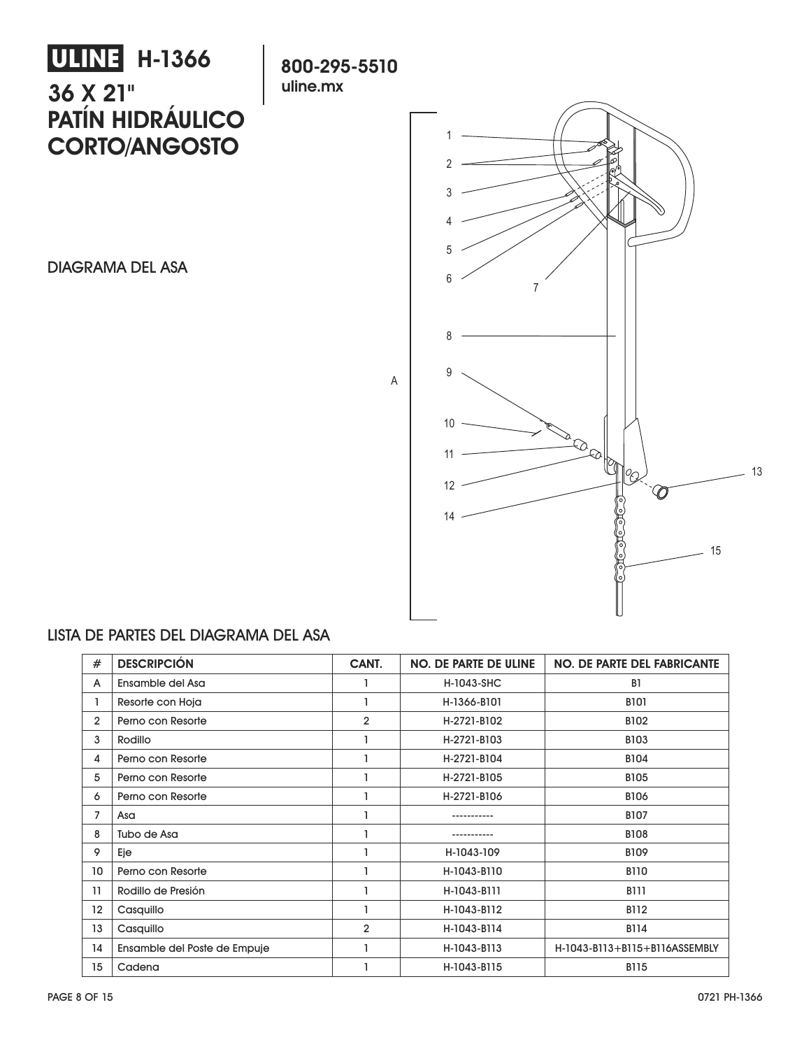# **ULINE H-1366 36 X 21" PATÍN HIDRÁULICO CORTO/ANGOSTO**

**uline.mx**

DIAGRAMA DEL ASA



### LISTA DE PARTES DEL DIAGRAMA DEL ASA

| #              | <b>DESCRIPCIÓN</b>           | CANT.          | <b>NO. DE PARTE DE ULINE</b> | <b>NO. DE PARTE DEL FABRICANTE</b> |
|----------------|------------------------------|----------------|------------------------------|------------------------------------|
| A              | Ensamble del Asa             |                | H-1043-SHC                   | B <sub>1</sub>                     |
|                | Resorte con Hoja             |                | H-1366-B101                  | <b>B101</b>                        |
| $\overline{2}$ | Perno con Resorte            | $\overline{2}$ | H-2721-B102                  | <b>B102</b>                        |
| 3              | Rodillo                      |                | H-2721-B103                  | <b>B103</b>                        |
| 4              | Perno con Resorte            |                | H-2721-B104                  | <b>B104</b>                        |
| 5              | Perno con Resorte            |                | H-2721-B105                  | <b>B105</b>                        |
| 6              | Perno con Resorte            |                | H-2721-B106                  | <b>B106</b>                        |
| 7              | Asa                          |                |                              | <b>B107</b>                        |
| 8              | Tubo de Asa                  |                |                              | <b>B108</b>                        |
| 9              | Eje                          |                | H-1043-109                   | <b>B109</b>                        |
| 10             | Perno con Resorte            |                | H-1043-B110                  | <b>B110</b>                        |
| 11             | Rodillo de Presión           |                | H-1043-B111                  | <b>B111</b>                        |
| 12             | Casquillo                    |                | H-1043-B112                  | <b>B112</b>                        |
| 13             | Casquillo                    | $\overline{2}$ | H-1043-B114                  | <b>B114</b>                        |
| 14             | Ensamble del Poste de Empuje |                | H-1043-B113                  | H-1043-B113+B115+B116ASSEMBLY      |
| 15             | Cadena                       |                | H-1043-B115                  | <b>B115</b>                        |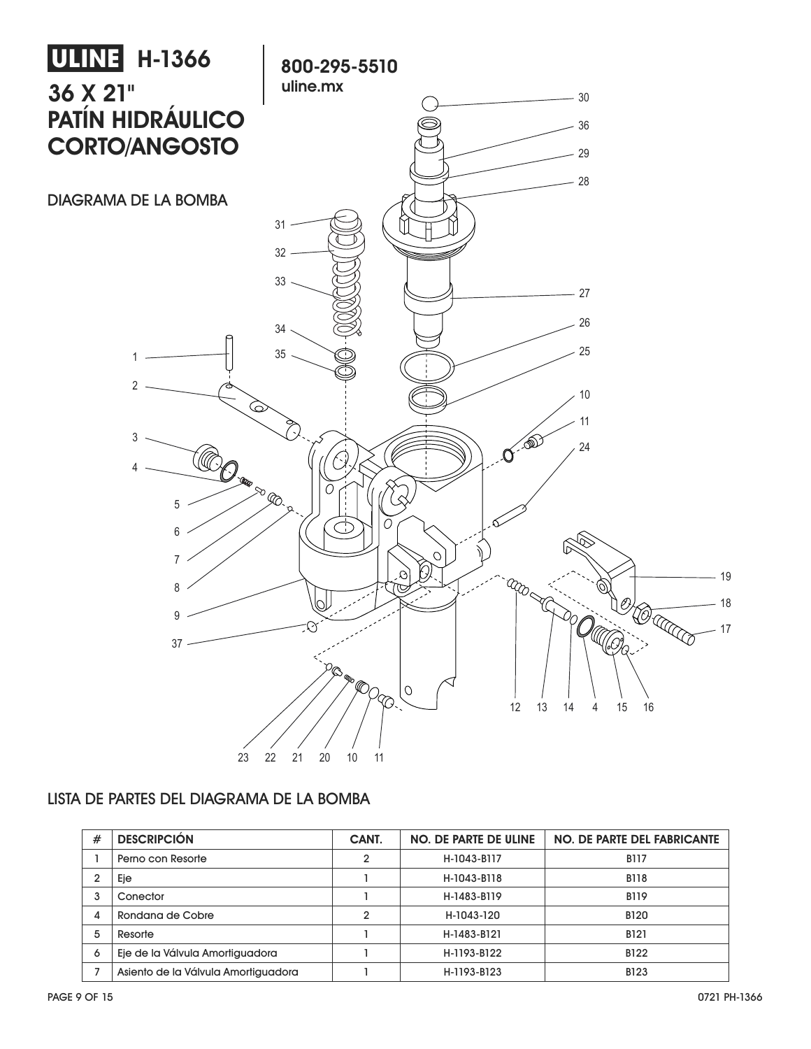

#### LISTA DE PARTES DEL DIAGRAMA DE LA BOMBA

| # | <b>DESCRIPCIÓN</b>                  | CANT.          | <b>NO. DE PARTE DE ULINE</b> | <b>NO. DE PARTE DEL FABRICANTE</b> |
|---|-------------------------------------|----------------|------------------------------|------------------------------------|
|   | Perno con Resorte                   | $\mathbf{2}$   | H-1043-B117                  | <b>B117</b>                        |
|   | Eje                                 |                | H-1043-B118                  | <b>B118</b>                        |
| 3 | Conector                            |                | H-1483-B119                  | <b>B119</b>                        |
| 4 | Rondana de Cobre                    | $\overline{2}$ | H-1043-120                   | <b>B120</b>                        |
| 5 | Resorte                             |                | H-1483-B121                  | <b>B121</b>                        |
| 6 | Eje de la Válvula Amortiguadora     |                | H-1193-B122                  | <b>B122</b>                        |
|   | Asiento de la Válvula Amortiguadora |                | H-1193-B123                  | <b>B123</b>                        |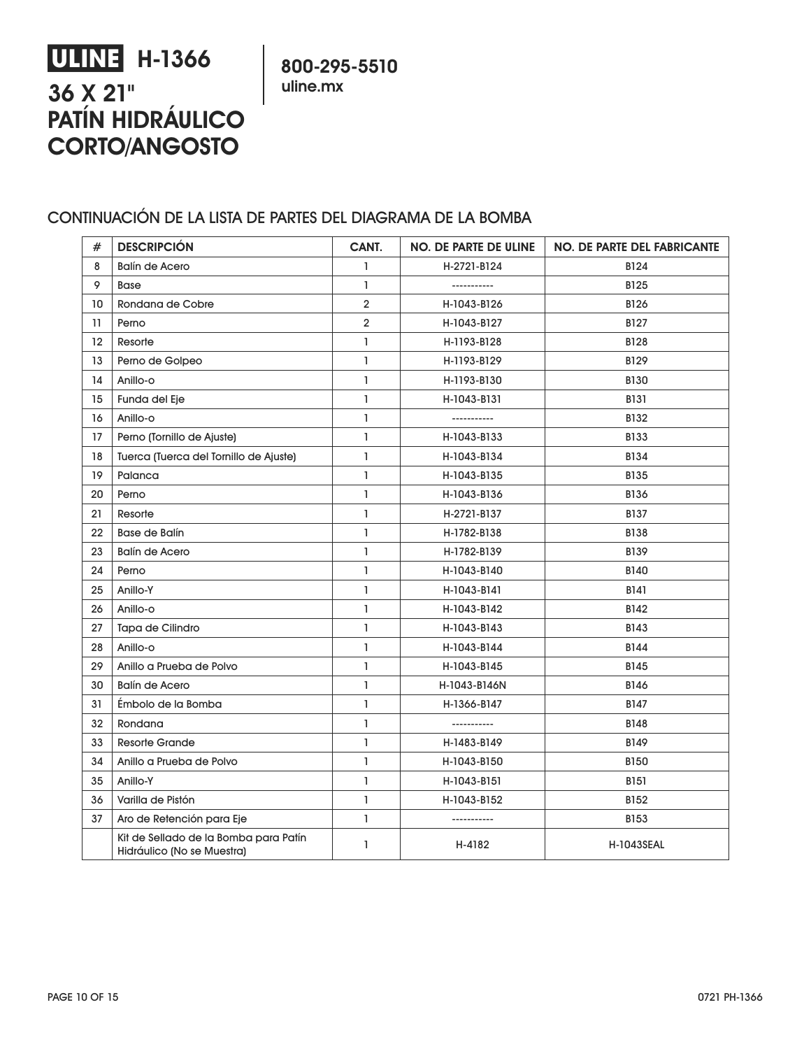# **ULINE H-1366 36 X 21" PATÍN HIDRÁULICO CORTO/ANGOSTO**

**800-295-5510 uline.mx**

#### CONTINUACIÓN DE LA LISTA DE PARTES DEL DIAGRAMA DE LA BOMBA

| #  | <b>DESCRIPCIÓN</b>                                                  | CANT.          | <b>NO. DE PARTE DE ULINE</b> | <b>NO. DE PARTE DEL FABRICANTE</b> |
|----|---------------------------------------------------------------------|----------------|------------------------------|------------------------------------|
| 8  | <b>Balín de Acero</b>                                               | 1              | H-2721-B124                  | B124                               |
| 9  | <b>Base</b>                                                         | $\mathbf{I}$   | -----------                  | B125                               |
| 10 | Rondana de Cobre                                                    | 2              | H-1043-B126                  | B126                               |
| 11 | Perno                                                               | $\overline{2}$ | H-1043-B127                  | <b>B127</b>                        |
| 12 | Resorte                                                             | $\mathbf{I}$   | H-1193-B128                  | <b>B128</b>                        |
| 13 | Perno de Golpeo                                                     | I.             | H-1193-B129                  | B129                               |
| 14 | Anillo-o                                                            | L              | H-1193-B130                  | <b>B130</b>                        |
| 15 | Funda del Eje                                                       | 1              | H-1043-B131                  | <b>B131</b>                        |
| 16 | Anillo-o                                                            | I.             | -----------                  | B132                               |
| 17 | Perno (Tornillo de Ajuste)                                          | 1              | H-1043-B133                  | <b>B133</b>                        |
| 18 | Tuerca (Tuerca del Tornillo de Ajuste)                              | L              | H-1043-B134                  | B134                               |
| 19 | Palanca                                                             | $\mathbf{I}$   | H-1043-B135                  | B135                               |
| 20 | Perno                                                               | $\mathbf{I}$   | H-1043-B136                  | B136                               |
| 21 | Resorte                                                             | 1              | H-2721-B137                  | B137                               |
| 22 | <b>Base de Balín</b>                                                | 1              | H-1782-B138                  | <b>B138</b>                        |
| 23 | <b>Balín de Acero</b>                                               | 1              | H-1782-B139                  | B139                               |
| 24 | Perno                                                               | 1              | H-1043-B140                  | <b>B140</b>                        |
| 25 | Anillo-Y                                                            | 1              | H-1043-B141                  | B141                               |
| 26 | Anillo-o                                                            | $\mathbf{I}$   | H-1043-B142                  | B142                               |
| 27 | Tapa de Cilindro                                                    | $\mathbf{I}$   | H-1043-B143                  | <b>B143</b>                        |
| 28 | Anillo-o                                                            | 1              | H-1043-B144                  | B144                               |
| 29 | Anillo a Prueba de Polvo                                            | 1              | H-1043-B145                  | B145                               |
| 30 | <b>Balín de Acero</b>                                               | $\mathbf{I}$   | H-1043-B146N                 | <b>B146</b>                        |
| 31 | Émbolo de la Bomba                                                  | I.             | H-1366-B147                  | B147                               |
| 32 | Rondana                                                             | 1              | -----------                  | <b>B148</b>                        |
| 33 | <b>Resorte Grande</b>                                               | $\mathbf{I}$   | H-1483-B149                  | <b>B149</b>                        |
| 34 | Anillo a Prueba de Polvo                                            | $\mathbf{I}$   | H-1043-B150                  | <b>B150</b>                        |
| 35 | Anillo-Y                                                            | L              | H-1043-B151                  | <b>B151</b>                        |
| 36 | Varilla de Pistón                                                   | 1              | H-1043-B152                  | B152                               |
| 37 | Aro de Retención para Eje                                           | $\mathbf{I}$   | -----------                  | <b>B153</b>                        |
|    | Kit de Sellado de la Bomba para Patín<br>Hidráulico (No se Muestra) | 1              | H-4182                       | <b>H-1043SEAL</b>                  |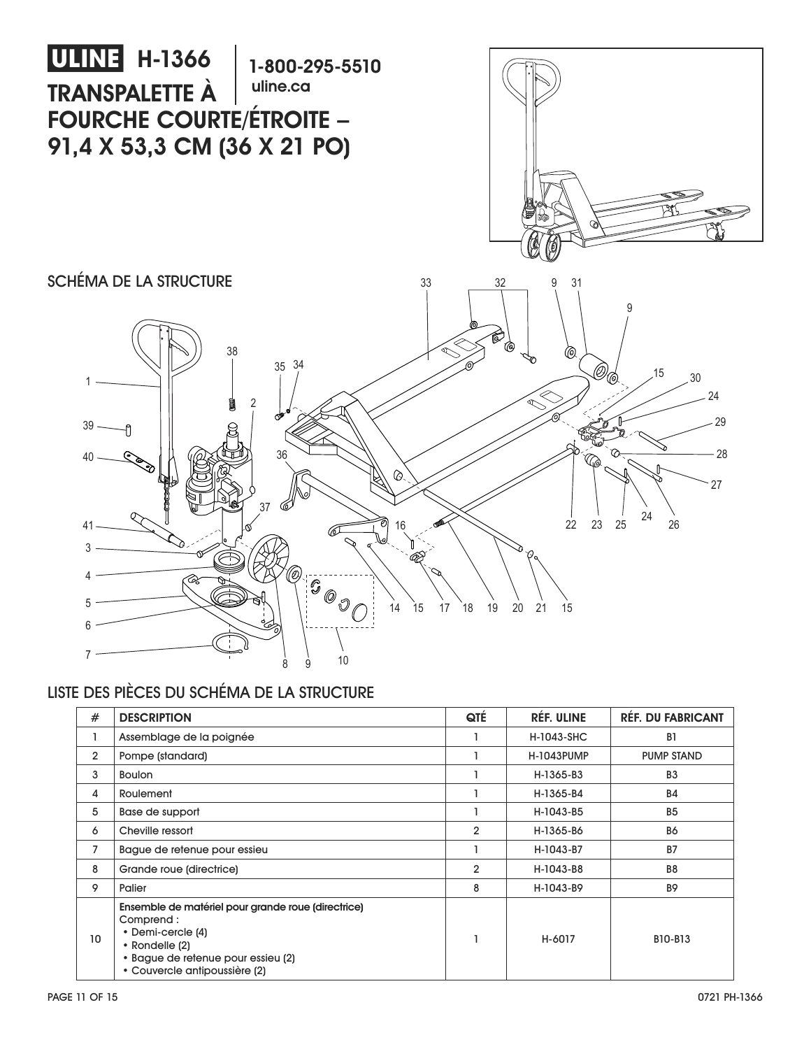

## LISTE DES PIÈCES DU SCHÉMA DE LA STRUCTURE

| #              | <b>DESCRIPTION</b>                                                                                                                                                            | QTÉ            | <b>RÉF. ULINE</b> | <b>RÉF. DU FABRICANT</b> |
|----------------|-------------------------------------------------------------------------------------------------------------------------------------------------------------------------------|----------------|-------------------|--------------------------|
|                | Assemblage de la poignée                                                                                                                                                      |                | <b>H-1043-SHC</b> | B <sub>1</sub>           |
| $\overline{2}$ | Pompe (standard)                                                                                                                                                              |                | <b>H-1043PUMP</b> | <b>PUMP STAND</b>        |
| 3              | <b>Boulon</b>                                                                                                                                                                 |                | H-1365-B3         | B <sub>3</sub>           |
| 4              | Roulement                                                                                                                                                                     |                | H-1365-B4         | <b>B4</b>                |
| 5              | Base de support                                                                                                                                                               |                | H-1043-B5         | <b>B5</b>                |
| 6              | Cheville ressort                                                                                                                                                              | $\overline{2}$ | H-1365-B6         | <b>B6</b>                |
| $\overline{7}$ | Bague de retenue pour essieu                                                                                                                                                  |                | H-1043-B7         | <b>B7</b>                |
| 8              | Grande roue (directrice)                                                                                                                                                      | $\overline{2}$ | H-1043-B8         | B <sub>8</sub>           |
| 9              | Palier                                                                                                                                                                        | 8              | H-1043-B9         | <b>B9</b>                |
| 10             | Ensemble de matériel pour grande roue (directrice)<br>Comprend:<br>• Demi-cercle (4)<br>• Rondelle (2)<br>• Bague de retenue pour essieu (2)<br>• Couvercle antipoussière (2) |                | H-6017            | B10-B13                  |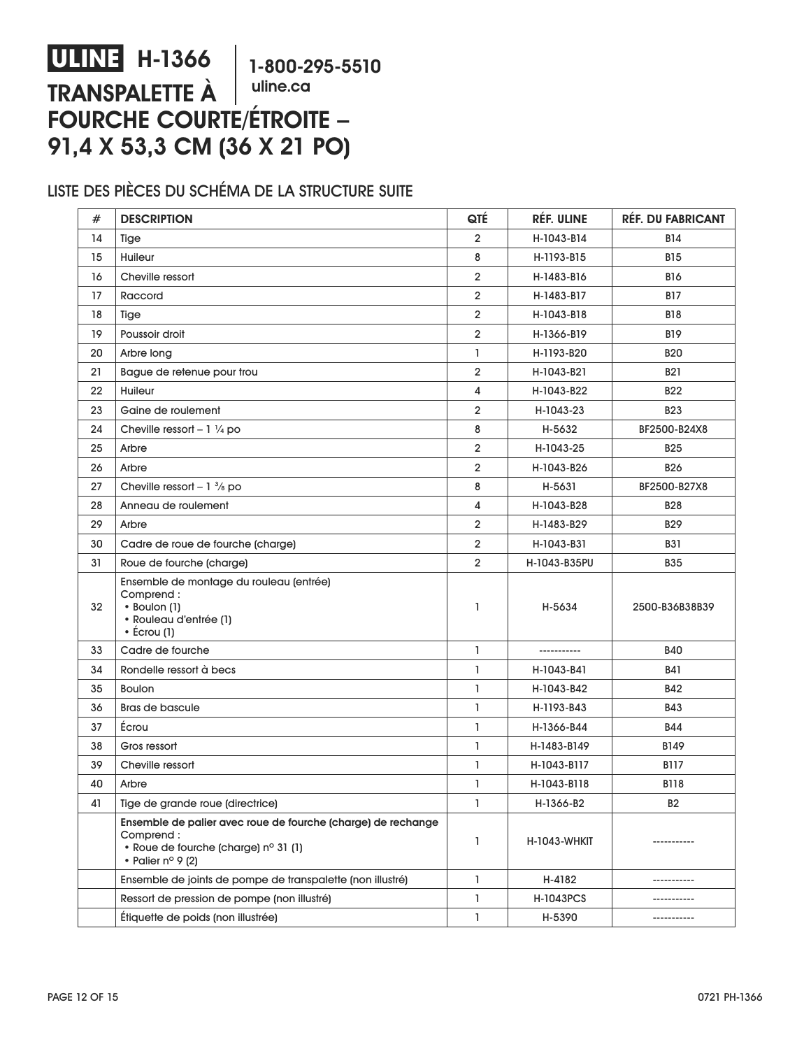#### **ULINE H-1366 TRANSPALETTE À FOURCHE COURTE/ÉTROITE – 91,4 X 53,3 CM (36 X 21 PO) 1-800-295-5510 uline.ca**

### LISTE DES PIÈCES DU SCHÉMA DE LA STRUCTURE SUITE

| #  | <b>DESCRIPTION</b>                                                                                                                              | QTÉ            | RÉF. ULINE   | <b>RÉF. DU FABRICANT</b> |
|----|-------------------------------------------------------------------------------------------------------------------------------------------------|----------------|--------------|--------------------------|
| 14 | Tige                                                                                                                                            | $\overline{2}$ | H-1043-B14   | <b>B14</b>               |
| 15 | Huileur                                                                                                                                         | 8              | H-1193-B15   | <b>B15</b>               |
| 16 | Cheville ressort                                                                                                                                | $\overline{2}$ | H-1483-B16   | <b>B16</b>               |
| 17 | Raccord                                                                                                                                         | $\overline{2}$ | H-1483-B17   | <b>B17</b>               |
| 18 | Tige                                                                                                                                            | $\overline{2}$ | H-1043-B18   | <b>B18</b>               |
| 19 | Poussoir droit                                                                                                                                  | $\overline{2}$ | H-1366-B19   | <b>B19</b>               |
| 20 | Arbre long                                                                                                                                      | $\mathbf{1}$   | H-1193-B20   | <b>B20</b>               |
| 21 | Bague de retenue pour trou                                                                                                                      | $\overline{2}$ | H-1043-B21   | <b>B21</b>               |
| 22 | Huileur                                                                                                                                         | $\overline{4}$ | H-1043-B22   | <b>B22</b>               |
| 23 | Gaine de roulement                                                                                                                              | $\overline{2}$ | H-1043-23    | <b>B23</b>               |
| 24 | Cheville ressort - $1 \frac{1}{4}$ po                                                                                                           | 8              | H-5632       | BF2500-B24X8             |
| 25 | Arbre                                                                                                                                           | $\overline{2}$ | H-1043-25    | <b>B25</b>               |
| 26 | Arbre                                                                                                                                           | $\overline{2}$ | H-1043-B26   | <b>B26</b>               |
| 27 | Cheville ressort - $1\frac{3}{8}$ po                                                                                                            | 8              | H-5631       | BF2500-B27X8             |
| 28 | Anneau de roulement                                                                                                                             | 4              | H-1043-B28   | <b>B28</b>               |
| 29 | Arbre                                                                                                                                           | $\overline{2}$ | H-1483-B29   | <b>B29</b>               |
| 30 | Cadre de roue de fourche (charge)                                                                                                               | $\overline{2}$ | H-1043-B31   | <b>B31</b>               |
| 31 | Roue de fourche (charge)                                                                                                                        | $\overline{2}$ | H-1043-B35PU | <b>B35</b>               |
| 32 | Ensemble de montage du rouleau (entrée)<br>Comprend:<br>• Boulon (1)<br>· Rouleau d'entrée (1)<br>$\cdot$ Écrou (1)                             | $\mathbf{1}$   | H-5634       | 2500-B36B38B39           |
| 33 | Cadre de fourche                                                                                                                                | $\mathbf{1}$   | -----------  | <b>B40</b>               |
| 34 | Rondelle ressort à becs                                                                                                                         | $\mathbf{1}$   | H-1043-B41   | <b>B41</b>               |
| 35 | <b>Boulon</b>                                                                                                                                   | $\mathbf{1}$   | H-1043-B42   | <b>B42</b>               |
| 36 | <b>Bras de bascule</b>                                                                                                                          | $\mathbf{1}$   | H-1193-B43   | <b>B43</b>               |
| 37 | Écrou                                                                                                                                           | $\mathbf{1}$   | H-1366-B44   | <b>B44</b>               |
| 38 | Gros ressort                                                                                                                                    | $\mathbf{1}$   | H-1483-B149  | B149                     |
| 39 | Cheville ressort                                                                                                                                | $\mathbf{1}$   | H-1043-B117  | <b>B117</b>              |
| 40 | Arbre                                                                                                                                           | $\mathbf{1}$   | H-1043-B118  | <b>B118</b>              |
| 41 | Tige de grande roue (directrice)                                                                                                                | ı              | H-1366-B2    | B2                       |
|    | Ensemble de palier avec roue de fourche (charge) de rechange<br>Comprend:<br>• Roue de fourche (charge) nº 31 (1)<br>• Palier $n^{\circ}$ 9 (2) | 1              | H-1043-WHKIT | -----------              |
|    | Ensemble de joints de pompe de transpalette (non illustré)                                                                                      | $\mathbf{1}$   | H-4182       | -----------              |
|    | Ressort de pression de pompe (non illustré)                                                                                                     | 1              | H-1043PCS    |                          |
|    | Étiquette de poids (non illustrée)                                                                                                              | 1              | H-5390       | -----------              |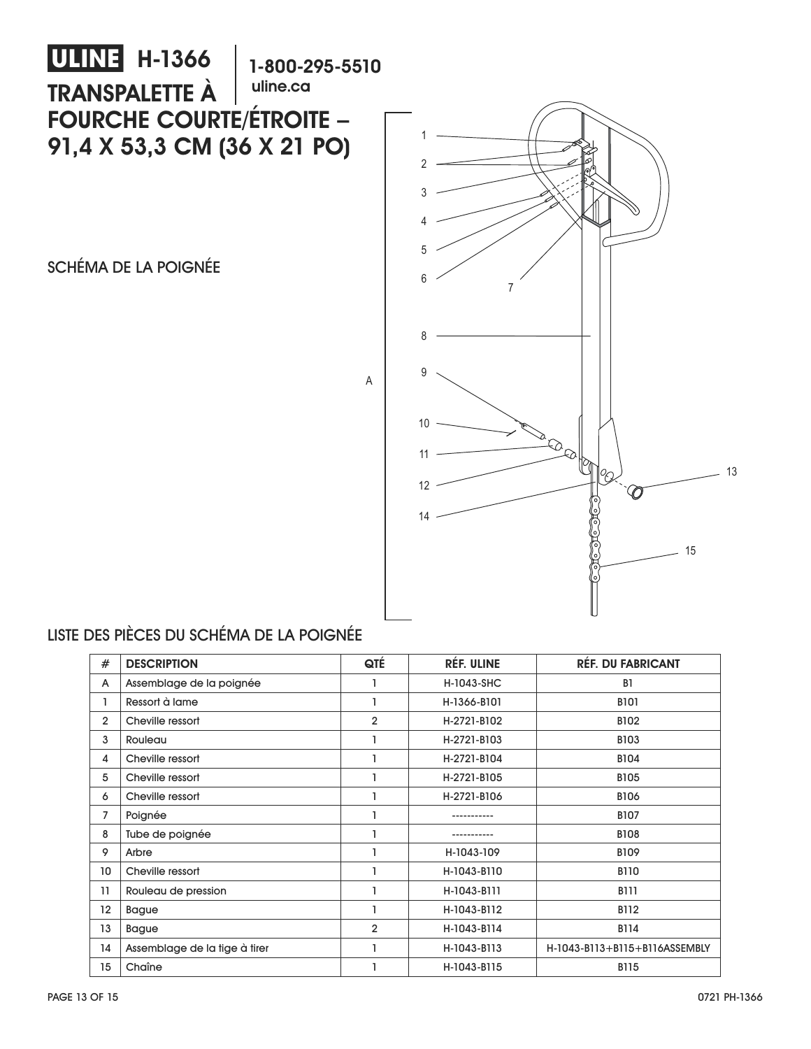

## LISTE DES PIÈCES DU SCHÉMA DE LA POIGNÉE

| #               | <b>DESCRIPTION</b>            | QTÉ            | <b>RÉF. ULINE</b> | <b>RÉF. DU FABRICANT</b>      |
|-----------------|-------------------------------|----------------|-------------------|-------------------------------|
| A               | Assemblage de la poignée      |                | H-1043-SHC        | B <sub>1</sub>                |
| 1               | Ressort à lame                |                | H-1366-B101       | <b>B101</b>                   |
| $\overline{2}$  | Cheville ressort              | $\overline{2}$ | H-2721-B102       | <b>B102</b>                   |
| 3               | Rouleau                       |                | H-2721-B103       | <b>B103</b>                   |
| 4               | Cheville ressort              |                | H-2721-B104       | <b>B104</b>                   |
| 5               | Cheville ressort              |                | H-2721-B105       | <b>B105</b>                   |
| 6               | Cheville ressort              |                | H-2721-B106       | <b>B106</b>                   |
| 7               | Poignée                       |                |                   | <b>B107</b>                   |
| 8               | Tube de poignée               |                |                   | <b>B108</b>                   |
| 9               | Arbre                         |                | H-1043-109        | <b>B109</b>                   |
| 10 <sup>°</sup> | Cheville ressort              |                | H-1043-B110       | <b>B110</b>                   |
| 11              | Rouleau de pression           |                | H-1043-B111       | <b>B111</b>                   |
| 12              | <b>Bague</b>                  |                | H-1043-B112       | B112                          |
| 13              | <b>Bague</b>                  | $\overline{2}$ | H-1043-B114       | <b>B114</b>                   |
| 14              | Assemblage de la tige à tirer |                | H-1043-B113       | H-1043-B113+B115+B116ASSEMBLY |
| 15              | Chaîne                        |                | H-1043-B115       | <b>B115</b>                   |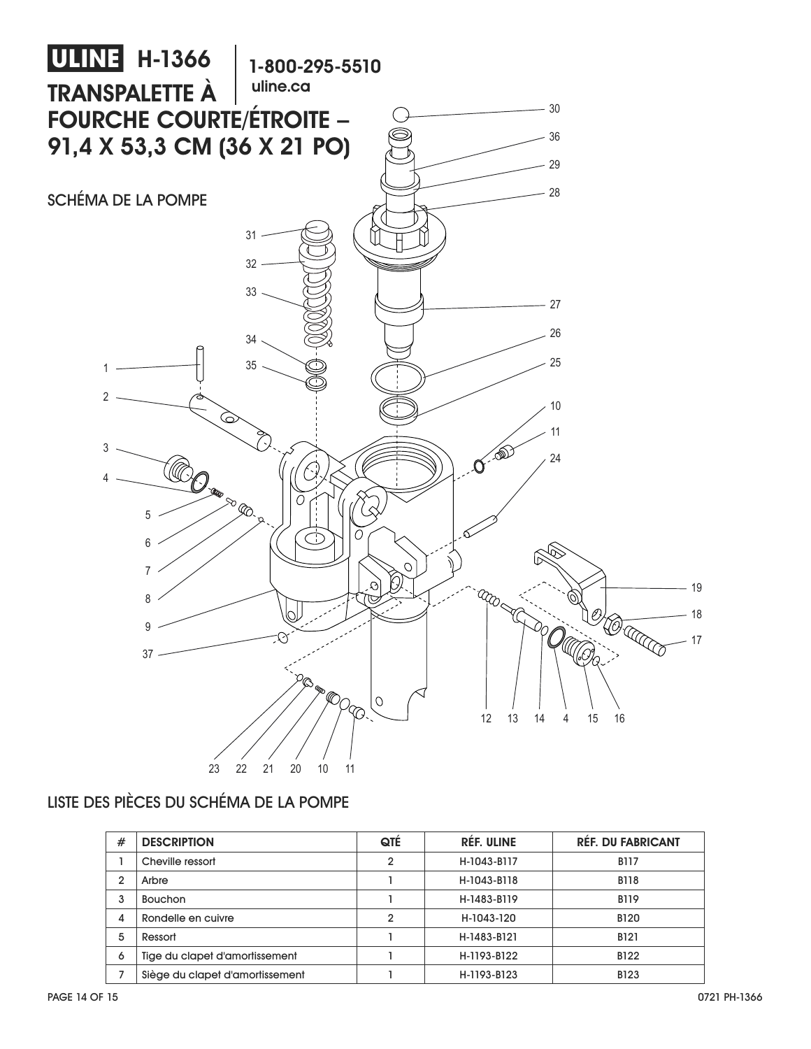

## LISTE DES PIÈCES DU SCHÉMA DE LA POMPE

| #              | <b>DESCRIPTION</b>              | QTÉ            | <b>RÉF. ULINE</b> | <b>RÉF. DU FABRICANT</b> |
|----------------|---------------------------------|----------------|-------------------|--------------------------|
|                | Cheville ressort                | $\overline{2}$ | H-1043-B117       | <b>B117</b>              |
| $\overline{2}$ | Arbre                           |                | H-1043-B118       | <b>B118</b>              |
| 3              | <b>Bouchon</b>                  |                | H-1483-B119       | <b>B119</b>              |
| 4              | Rondelle en cuivre              | $\mathbf{2}$   | H-1043-120        | <b>B120</b>              |
| 5              | Ressort                         |                | H-1483-B121       | <b>B121</b>              |
| 6              | Tige du clapet d'amortissement  |                | H-1193-B122       | B122                     |
|                | Siège du clapet d'amortissement |                | H-1193-B123       | <b>B123</b>              |